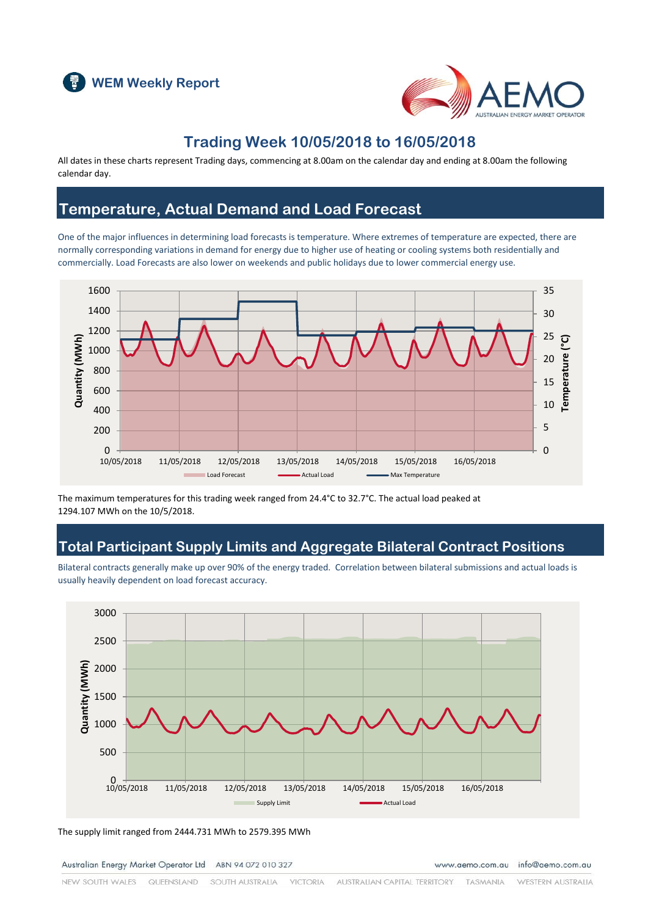



#### **Trading Week 10/05/2018 to 16/05/2018**

All dates in these charts represent Trading days, commencing at 8.00am on the calendar day and ending at 8.00am the following calendar day.

### **Temperature, Actual Demand and Load Forecast**

One of the major influences in determining load forecasts is temperature. Where extremes of temperature are expected, there are normally corresponding variations in demand for energy due to higher use of heating or cooling systems both residentially and commercially. Load Forecasts are also lower on weekends and public holidays due to lower commercial energy use.



The maximum temperatures for this trading week ranged from 24.4°C to 32.7°C. The actual load peaked at 1294.107 MWh on the 10/5/2018.

### **Total Participant Supply Limits and Aggregate Bilateral Contract Positions**

Bilateral contracts generally make up over 90% of the energy traded. Correlation between bilateral submissions and actual loads is usually heavily dependent on load forecast accuracy.



The supply limit ranged from 2444.731 MWh to 2579.395 MWh

Australian Energy Market Operator Ltd ABN 94 072 010 327

www.aemo.com.au info@aemo.com.au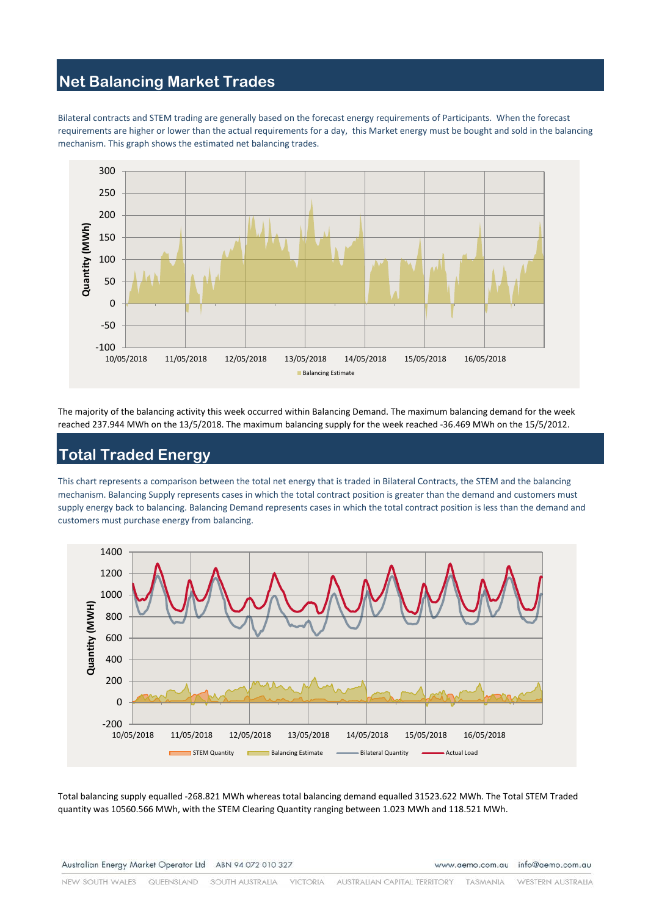# **Net Balancing Market Trades**

Bilateral contracts and STEM trading are generally based on the forecast energy requirements of Participants. When the forecast requirements are higher or lower than the actual requirements for a day, this Market energy must be bought and sold in the balancing mechanism. This graph shows the estimated net balancing trades.



The majority of the balancing activity this week occurred within Balancing Demand. The maximum balancing demand for the week reached 237.944 MWh on the 13/5/2018. The maximum balancing supply for the week reached -36.469 MWh on the 15/5/2012.

# **Total Traded Energy**

This chart represents a comparison between the total net energy that is traded in Bilateral Contracts, the STEM and the balancing mechanism. Balancing Supply represents cases in which the total contract position is greater than the demand and customers must supply energy back to balancing. Balancing Demand represents cases in which the total contract position is less than the demand and customers must purchase energy from balancing.



Total balancing supply equalled -268.821 MWh whereas total balancing demand equalled 31523.622 MWh. The Total STEM Traded quantity was 10560.566 MWh, with the STEM Clearing Quantity ranging between 1.023 MWh and 118.521 MWh.